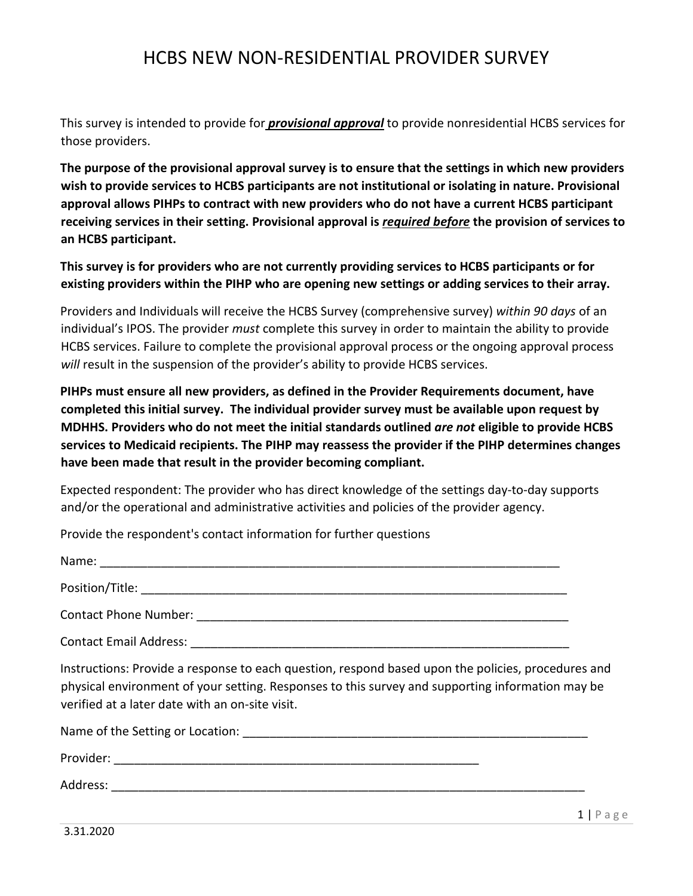This survey is intended to provide for *provisional approval* to provide nonresidential HCBS services for those providers.

**The purpose of the provisional approval survey is to ensure that the settings in which new providers wish to provide services to HCBS participants are not institutional or isolating in nature. Provisional approval allows PIHPs to contract with new providers who do not have a current HCBS participant receiving services in their setting. Provisional approval is** *required before* **the provision of services to an HCBS participant.** 

**This survey is for providers who are not currently providing services to HCBS participants or for existing providers within the PIHP who are opening new settings or adding services to their array.**

Providers and Individuals will receive the HCBS Survey (comprehensive survey) *within 90 days* of an individual's IPOS. The provider *must* complete this survey in order to maintain the ability to provide HCBS services. Failure to complete the provisional approval process or the ongoing approval process *will* result in the suspension of the provider's ability to provide HCBS services.

**PIHPs must ensure all new providers, as defined in the Provider Requirements document, have completed this initial survey. The individual provider survey must be available upon request by MDHHS. Providers who do not meet the initial standards outlined** *are not* **eligible to provide HCBS services to Medicaid recipients. The PIHP may reassess the provider if the PIHP determines changes have been made that result in the provider becoming compliant.** 

Expected respondent: The provider who has direct knowledge of the settings day-to-day supports and/or the operational and administrative activities and policies of the provider agency.

Provide the respondent's contact information for further questions

| Name:                        |  |  |
|------------------------------|--|--|
| Position/Title:              |  |  |
| <b>Contact Phone Number:</b> |  |  |

Contact Email Address: **Example 2018** 

Instructions: Provide a response to each question, respond based upon the policies, procedures and physical environment of your setting. Responses to this survey and supporting information may be verified at a later date with an on-site visit.

Name of the Setting or Location: \_\_\_\_\_\_\_\_\_\_\_\_\_\_\_\_\_\_\_\_\_\_\_\_\_\_\_\_\_\_\_\_\_\_\_\_\_\_\_\_\_\_\_\_\_\_\_\_\_\_\_

Provider: \_\_\_\_\_\_\_\_\_\_\_\_\_\_\_\_\_\_\_\_\_\_\_\_\_\_\_\_\_\_\_\_\_\_\_\_\_\_\_\_\_\_\_\_\_\_\_\_\_\_\_\_\_\_

 $\blacktriangle$ ddress: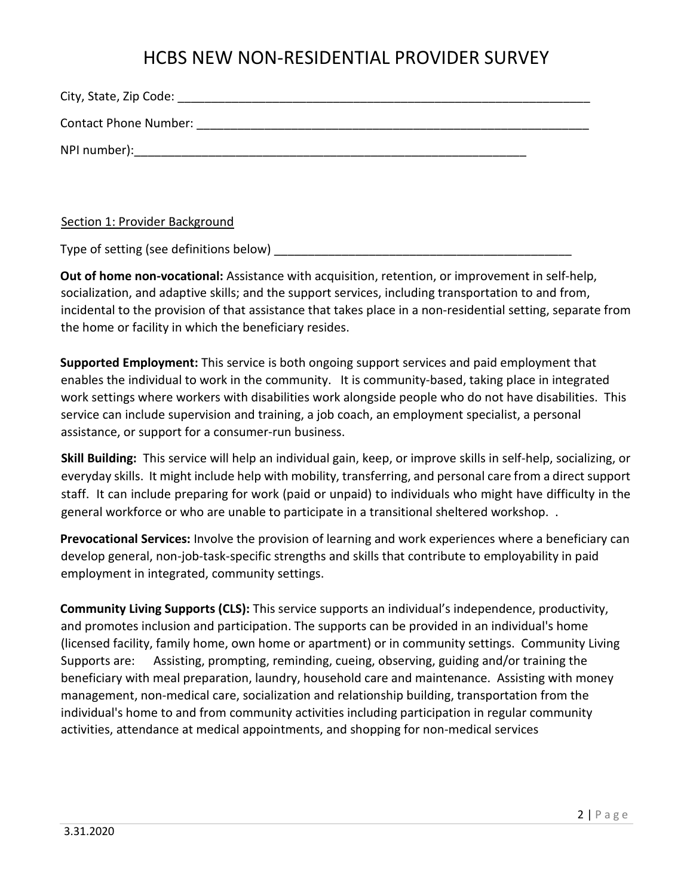Section 1: Provider Background

Type of setting (see definitions below)

**Out of home non-vocational:** Assistance with acquisition, retention, or improvement in self-help, socialization, and adaptive skills; and the support services, including transportation to and from, incidental to the provision of that assistance that takes place in a non-residential setting, separate from the home or facility in which the beneficiary resides.

**Supported Employment:** This service is both ongoing support services and paid employment that enables the individual to work in the community. It is community-based, taking place in integrated work settings where workers with disabilities work alongside people who do not have disabilities. This service can include supervision and training, a job coach, an employment specialist, a personal assistance, or support for a consumer-run business.

**Skill Building:** This service will help an individual gain, keep, or improve skills in self-help, socializing, or everyday skills. It might include help with mobility, transferring, and personal care from a direct support staff. It can include preparing for work (paid or unpaid) to individuals who might have difficulty in the general workforce or who are unable to participate in a transitional sheltered workshop. .

**Prevocational Services:** Involve the provision of learning and work experiences where a beneficiary can develop general, non-job-task-specific strengths and skills that contribute to employability in paid employment in integrated, community settings.

**Community Living Supports (CLS):** This service supports an individual's independence, productivity, and promotes inclusion and participation. The supports can be provided in an individual's home (licensed facility, family home, own home or apartment) or in community settings. Community Living Supports are: Assisting, prompting, reminding, cueing, observing, guiding and/or training the beneficiary with meal preparation, laundry, household care and maintenance. Assisting with money management, non-medical care, socialization and relationship building, transportation from the individual's home to and from community activities including participation in regular community activities, attendance at medical appointments, and shopping for non-medical services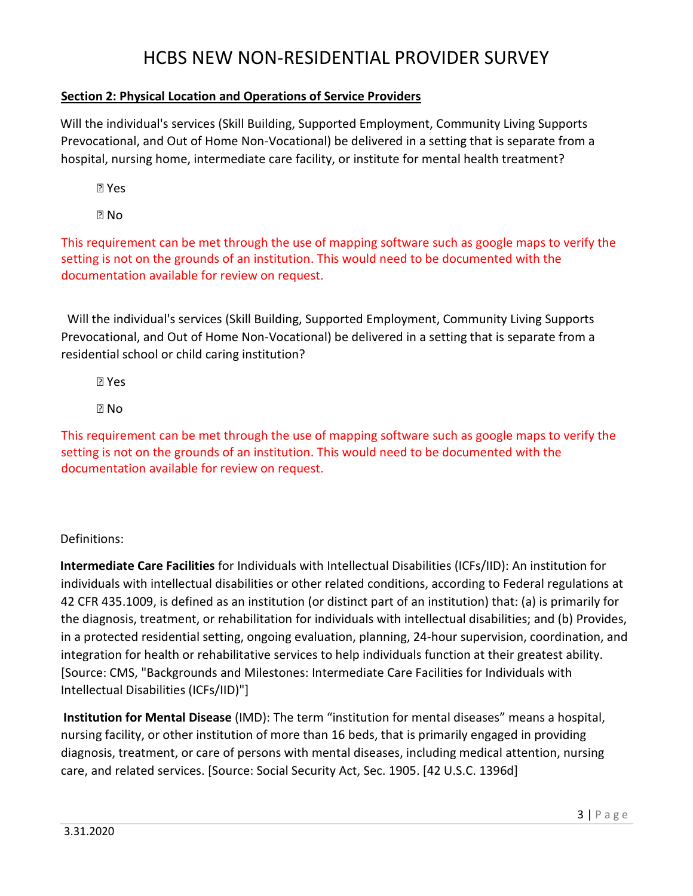### **Section 2: Physical Location and Operations of Service Providers**

Will the individual's services (Skill Building, Supported Employment, Community Living Supports Prevocational, and Out of Home Non-Vocational) be delivered in a setting that is separate from a hospital, nursing home, intermediate care facility, or institute for mental health treatment?

Yes

No

This requirement can be met through the use of mapping software such as google maps to verify the setting is not on the grounds of an institution. This would need to be documented with the documentation available for review on request.

 Will the individual's services (Skill Building, Supported Employment, Community Living Supports Prevocational, and Out of Home Non-Vocational) be delivered in a setting that is separate from a residential school or child caring institution?

Yes

**Z** No

This requirement can be met through the use of mapping software such as google maps to verify the setting is not on the grounds of an institution. This would need to be documented with the documentation available for review on request.

Definitions:

**Intermediate Care Facilities** for Individuals with Intellectual Disabilities (ICFs/IID): An institution for individuals with intellectual disabilities or other related conditions, according to Federal regulations at 42 CFR 435.1009, is defined as an institution (or distinct part of an institution) that: (a) is primarily for the diagnosis, treatment, or rehabilitation for individuals with intellectual disabilities; and (b) Provides, in a protected residential setting, ongoing evaluation, planning, 24-hour supervision, coordination, and integration for health or rehabilitative services to help individuals function at their greatest ability. [Source: CMS, "Backgrounds and Milestones: Intermediate Care Facilities for Individuals with Intellectual Disabilities (ICFs/IID)"]

**Institution for Mental Disease** (IMD): The term "institution for mental diseases" means a hospital, nursing facility, or other institution of more than 16 beds, that is primarily engaged in providing diagnosis, treatment, or care of persons with mental diseases, including medical attention, nursing care, and related services. [Source: Social Security Act, Sec. 1905. [42 U.S.C. 1396d]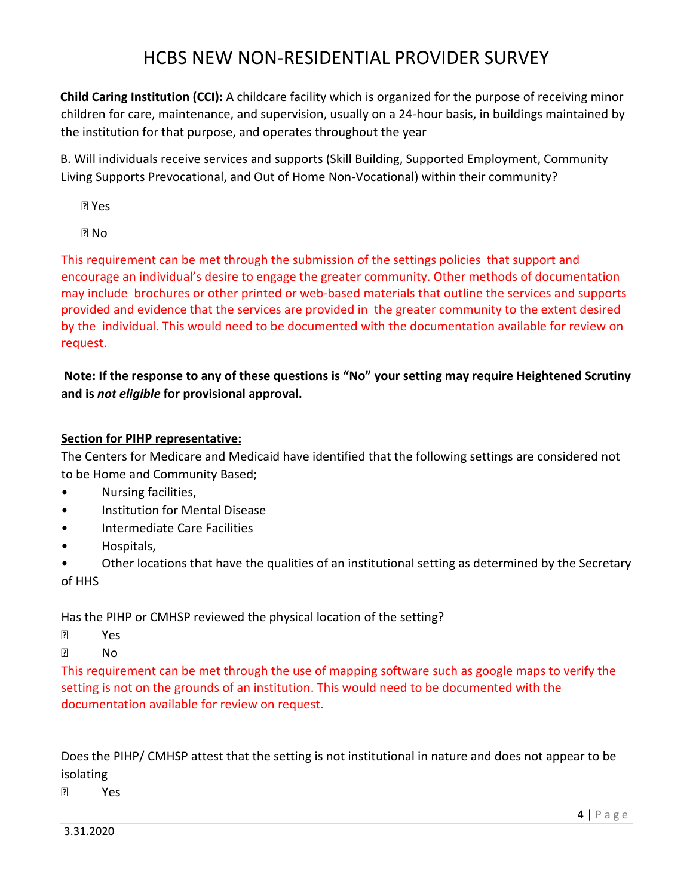**Child Caring Institution (CCI):** A childcare facility which is organized for the purpose of receiving minor children for care, maintenance, and supervision, usually on a 24-hour basis, in buildings maintained by the institution for that purpose, and operates throughout the year

B. Will individuals receive services and supports (Skill Building, Supported Employment, Community Living Supports Prevocational, and Out of Home Non-Vocational) within their community?

Yes

**PI** No

This requirement can be met through the submission of the settings policies that support and encourage an individual's desire to engage the greater community. Other methods of documentation may include brochures or other printed or web-based materials that outline the services and supports provided and evidence that the services are provided in the greater community to the extent desired by the individual. This would need to be documented with the documentation available for review on request.

**Note: If the response to any of these questions is "No" your setting may require Heightened Scrutiny and is** *not eligible* **for provisional approval.** 

### **Section for PIHP representative:**

The Centers for Medicare and Medicaid have identified that the following settings are considered not to be Home and Community Based;

- Nursing facilities,
- Institution for Mental Disease
- Intermediate Care Facilities
- Hospitals,

• Other locations that have the qualities of an institutional setting as determined by the Secretary of HHS

Has the PIHP or CMHSP reviewed the physical location of the setting?

- Yes
- **P** No

This requirement can be met through the use of mapping software such as google maps to verify the setting is not on the grounds of an institution. This would need to be documented with the documentation available for review on request.

Does the PIHP/ CMHSP attest that the setting is not institutional in nature and does not appear to be isolating

Yes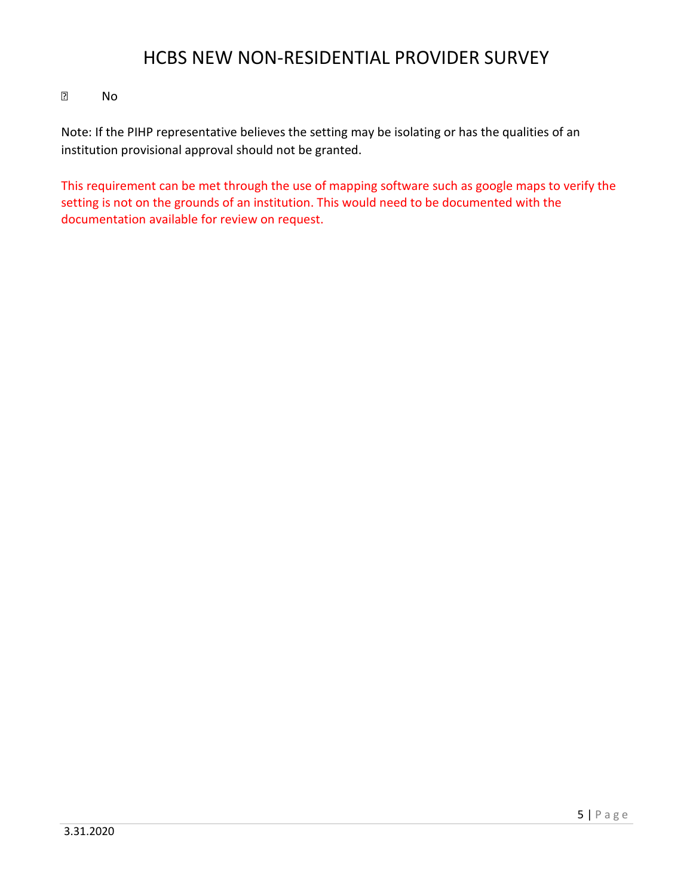#### **P** No

Note: If the PIHP representative believes the setting may be isolating or has the qualities of an institution provisional approval should not be granted.

This requirement can be met through the use of mapping software such as google maps to verify the setting is not on the grounds of an institution. This would need to be documented with the documentation available for review on request.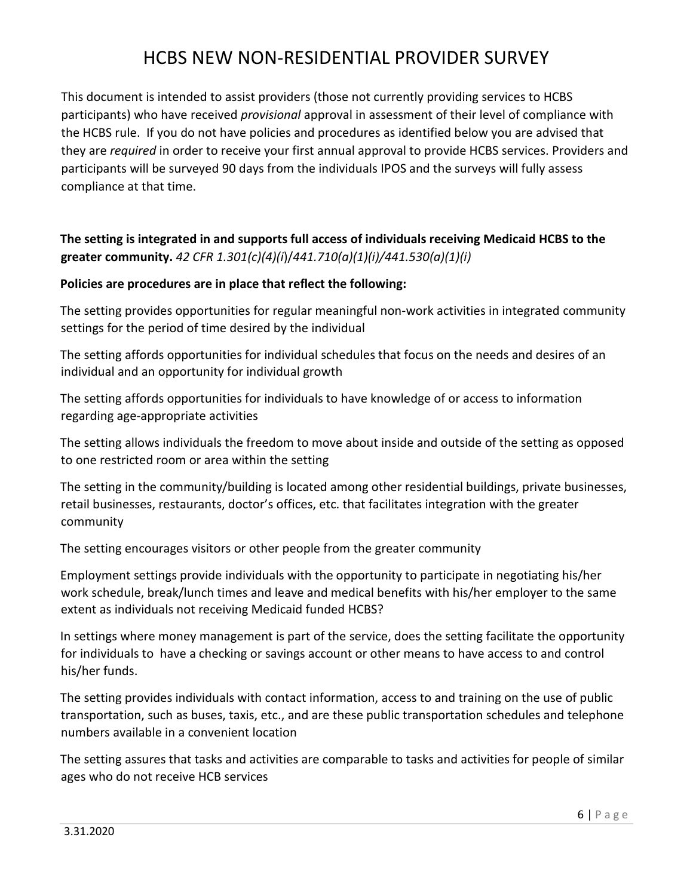This document is intended to assist providers (those not currently providing services to HCBS participants) who have received *provisional* approval in assessment of their level of compliance with the HCBS rule. If you do not have policies and procedures as identified below you are advised that they are *required* in order to receive your first annual approval to provide HCBS services. Providers and participants will be surveyed 90 days from the individuals IPOS and the surveys will fully assess compliance at that time.

## **The setting is integrated in and supports full access of individuals receiving Medicaid HCBS to the greater community.** *42 CFR 1.301(c)(4)(i*)/*441.710(a)(1)(i)/441.530(a)(1)(i)*

### **Policies are procedures are in place that reflect the following:**

The setting provides opportunities for regular meaningful non-work activities in integrated community settings for the period of time desired by the individual

The setting affords opportunities for individual schedules that focus on the needs and desires of an individual and an opportunity for individual growth

The setting affords opportunities for individuals to have knowledge of or access to information regarding age-appropriate activities

The setting allows individuals the freedom to move about inside and outside of the setting as opposed to one restricted room or area within the setting

The setting in the community/building is located among other residential buildings, private businesses, retail businesses, restaurants, doctor's offices, etc. that facilitates integration with the greater community

The setting encourages visitors or other people from the greater community

Employment settings provide individuals with the opportunity to participate in negotiating his/her work schedule, break/lunch times and leave and medical benefits with his/her employer to the same extent as individuals not receiving Medicaid funded HCBS?

In settings where money management is part of the service, does the setting facilitate the opportunity for individuals to have a checking or savings account or other means to have access to and control his/her funds.

The setting provides individuals with contact information, access to and training on the use of public transportation, such as buses, taxis, etc., and are these public transportation schedules and telephone numbers available in a convenient location

The setting assures that tasks and activities are comparable to tasks and activities for people of similar ages who do not receive HCB services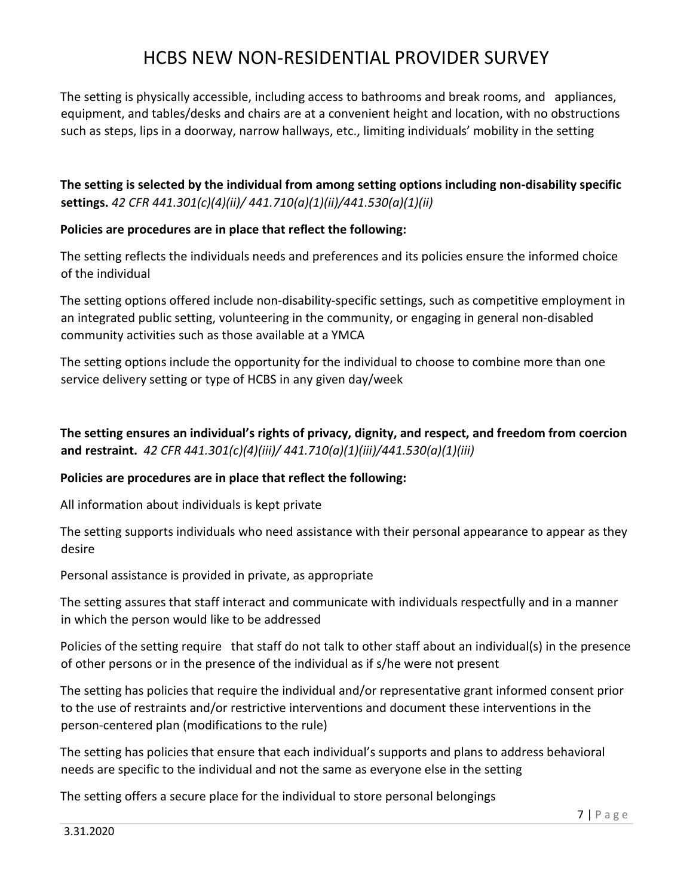The setting is physically accessible, including access to bathrooms and break rooms, and appliances, equipment, and tables/desks and chairs are at a convenient height and location, with no obstructions such as steps, lips in a doorway, narrow hallways, etc., limiting individuals' mobility in the setting

**The setting is selected by the individual from among setting options including non-disability specific settings.** *42 CFR 441.301(c)(4)(ii)/ 441.710(a)(1)(ii)/441.530(a)(1)(ii)* 

#### **Policies are procedures are in place that reflect the following:**

The setting reflects the individuals needs and preferences and its policies ensure the informed choice of the individual

The setting options offered include non-disability-specific settings, such as competitive employment in an integrated public setting, volunteering in the community, or engaging in general non-disabled community activities such as those available at a YMCA

The setting options include the opportunity for the individual to choose to combine more than one service delivery setting or type of HCBS in any given day/week

**The setting ensures an individual's rights of privacy, dignity, and respect, and freedom from coercion and restraint.** *42 CFR 441.301(c)(4)(iii)/ 441.710(a)(1)(iii)/441.530(a)(1)(iii)* 

### **Policies are procedures are in place that reflect the following:**

All information about individuals is kept private

The setting supports individuals who need assistance with their personal appearance to appear as they desire

Personal assistance is provided in private, as appropriate

The setting assures that staff interact and communicate with individuals respectfully and in a manner in which the person would like to be addressed

Policies of the setting require that staff do not talk to other staff about an individual(s) in the presence of other persons or in the presence of the individual as if s/he were not present

The setting has policies that require the individual and/or representative grant informed consent prior to the use of restraints and/or restrictive interventions and document these interventions in the person-centered plan (modifications to the rule)

The setting has policies that ensure that each individual's supports and plans to address behavioral needs are specific to the individual and not the same as everyone else in the setting

The setting offers a secure place for the individual to store personal belongings